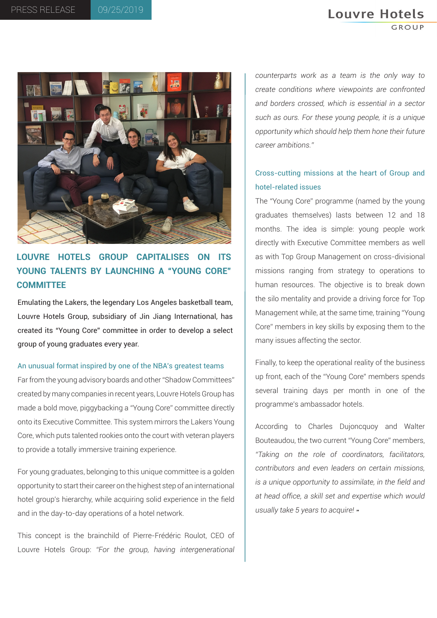# **Louvre Hotels**



## **LOUVRE HOTELS GROUP CAPITALISES ON ITS YOUNG TALENTS BY LAUNCHING A "YOUNG CORE" COMMITTEE**

Emulating the Lakers, the legendary Los Angeles basketball team, Louvre Hotels Group, subsidiary of Jin Jiang International, has created its "Young Core" committee in order to develop a select group of young graduates every year.

### An unusual format inspired by one of the NBA's greatest teams

Far from the young advisory boards and other "Shadow Committees" created by many companies in recent years, Louvre Hotels Group has made a bold move, piggybacking a "Young Core" committee directly onto its Executive Committee. This system mirrors the Lakers Young Core, which puts talented rookies onto the court with veteran players to provide a totally immersive training experience.

For young graduates, belonging to this unique committee is a golden opportunity to start their career on the highest step of an international hotel group's hierarchy, while acquiring solid experience in the field and in the day-to-day operations of a hotel network.

This concept is the brainchild of Pierre-Frédéric Roulot, CEO of Louvre Hotels Group: *"For the group, having intergenerational* 

*counterparts work as a team is the only way to create conditions where viewpoints are confronted and borders crossed, which is essential in a sector such as ours. For these young people, it is a unique opportunity which should help them hone their future career ambitions."*

## Cross-cutting missions at the heart of Group and hotel-related issues

The "Young Core" programme (named by the young graduates themselves) lasts between 12 and 18 months. The idea is simple: young people work directly with Executive Committee members as well as with Top Group Management on cross-divisional missions ranging from strategy to operations to human resources. The objective is to break down the silo mentality and provide a driving force for Top Management while, at the same time, training "Young Core" members in key skills by exposing them to the many issues affecting the sector.

Finally, to keep the operational reality of the business up front, each of the "Young Core" members spends several training days per month in one of the programme's ambassador hotels.

According to Charles Dujoncquoy and Walter Bouteaudou, the two current "Young Core" members, *"Taking on the role of coordinators, facilitators, contributors and even leaders on certain missions, is a unique opportunity to assimilate, in the field and at head office, a skill set and expertise which would usually take 5 years to acquire! »*